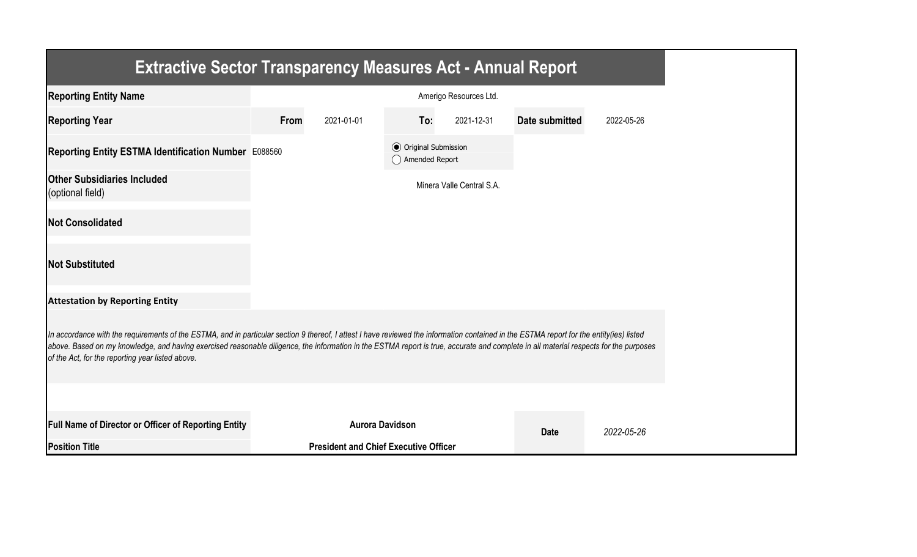| <b>Extractive Sector Transparency Measures Act - Annual Report</b>                                                                                                                                                                                                                                                                                                                                                                    |      |                                              |                                                  |                           |                |            |
|---------------------------------------------------------------------------------------------------------------------------------------------------------------------------------------------------------------------------------------------------------------------------------------------------------------------------------------------------------------------------------------------------------------------------------------|------|----------------------------------------------|--------------------------------------------------|---------------------------|----------------|------------|
| <b>Reporting Entity Name</b>                                                                                                                                                                                                                                                                                                                                                                                                          |      |                                              |                                                  | Amerigo Resources Ltd.    |                |            |
| <b>Reporting Year</b>                                                                                                                                                                                                                                                                                                                                                                                                                 | From | 2021-01-01                                   | To:                                              | 2021-12-31                | Date submitted | 2022-05-26 |
| Reporting Entity ESTMA Identification Number E088560                                                                                                                                                                                                                                                                                                                                                                                  |      |                                              | <b>⊙</b> Original Submission<br>◯ Amended Report |                           |                |            |
| <b>Other Subsidiaries Included</b><br>(optional field)                                                                                                                                                                                                                                                                                                                                                                                |      |                                              |                                                  | Minera Valle Central S.A. |                |            |
| <b>Not Consolidated</b>                                                                                                                                                                                                                                                                                                                                                                                                               |      |                                              |                                                  |                           |                |            |
| <b>Not Substituted</b>                                                                                                                                                                                                                                                                                                                                                                                                                |      |                                              |                                                  |                           |                |            |
| <b>Attestation by Reporting Entity</b>                                                                                                                                                                                                                                                                                                                                                                                                |      |                                              |                                                  |                           |                |            |
| In accordance with the requirements of the ESTMA, and in particular section 9 thereof, I attest I have reviewed the information contained in the ESTMA report for the entity(ies) listed<br>above. Based on my knowledge, and having exercised reasonable diligence, the information in the ESTMA report is true, accurate and complete in all material respects for the purposes<br>of the Act, for the reporting year listed above. |      |                                              |                                                  |                           |                |            |
|                                                                                                                                                                                                                                                                                                                                                                                                                                       |      |                                              |                                                  |                           |                |            |
| Full Name of Director or Officer of Reporting Entity                                                                                                                                                                                                                                                                                                                                                                                  |      | <b>Aurora Davidson</b>                       |                                                  |                           | <b>Date</b>    | 2022-05-26 |
| <b>Position Title</b>                                                                                                                                                                                                                                                                                                                                                                                                                 |      | <b>President and Chief Executive Officer</b> |                                                  |                           |                |            |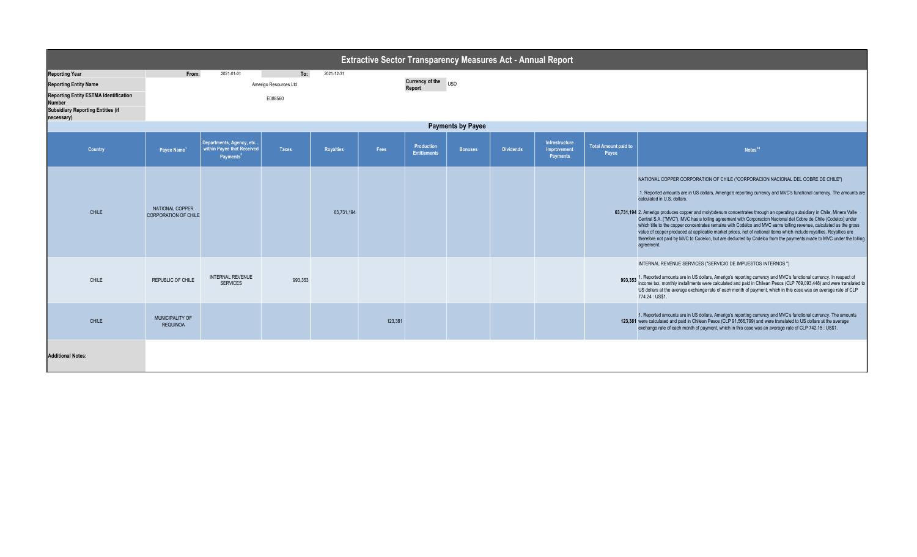|                                                                                                                                                                           | <b>Extractive Sector Transparency Measures Act - Annual Report</b> |                                                                                  |                                          |            |         |                                         |                |                  |                                                  |                                      |                                                                                                                                                                                                                                                                                                                                                                                                                                                                                                                                                                                                                                                                                                                                                                                                                                                                    |  |  |  |
|---------------------------------------------------------------------------------------------------------------------------------------------------------------------------|--------------------------------------------------------------------|----------------------------------------------------------------------------------|------------------------------------------|------------|---------|-----------------------------------------|----------------|------------------|--------------------------------------------------|--------------------------------------|--------------------------------------------------------------------------------------------------------------------------------------------------------------------------------------------------------------------------------------------------------------------------------------------------------------------------------------------------------------------------------------------------------------------------------------------------------------------------------------------------------------------------------------------------------------------------------------------------------------------------------------------------------------------------------------------------------------------------------------------------------------------------------------------------------------------------------------------------------------------|--|--|--|
| <b>Reporting Year</b><br><b>Reporting Entity Name</b><br><b>Reporting Entity ESTMA Identification</b><br>Number<br><b>Subsidiary Reporting Entities (if</b><br>necessary) | From:                                                              | 2021-01-01                                                                       | To:<br>Amerigo Resources Ltd.<br>E088560 | 2021-12-31 |         | <b>Currency of the</b><br><b>Report</b> | <b>USD</b>     |                  |                                                  |                                      |                                                                                                                                                                                                                                                                                                                                                                                                                                                                                                                                                                                                                                                                                                                                                                                                                                                                    |  |  |  |
|                                                                                                                                                                           | <b>Payments by Payee</b>                                           |                                                                                  |                                          |            |         |                                         |                |                  |                                                  |                                      |                                                                                                                                                                                                                                                                                                                                                                                                                                                                                                                                                                                                                                                                                                                                                                                                                                                                    |  |  |  |
| <b>Country</b>                                                                                                                                                            | Payee Name <sup>1</sup>                                            | Departments, Agency, etc.<br>within Payee that Received<br>Payments <sup>2</sup> | <b>Taxes</b>                             | Royalties  | Fees    | Production<br><b>Entitlements</b>       | <b>Bonuses</b> | <b>Dividends</b> | Infrastructure<br>Improvement<br><b>Payments</b> | <b>Total Amount paid to</b><br>Payee | Notes <sup>34</sup>                                                                                                                                                                                                                                                                                                                                                                                                                                                                                                                                                                                                                                                                                                                                                                                                                                                |  |  |  |
| <b>CHILE</b>                                                                                                                                                              | NATIONAL COPPER<br><b>CORPORATION OF CHILE</b>                     |                                                                                  |                                          | 63,731,194 |         |                                         |                |                  |                                                  |                                      | NATIONAL COPPER CORPORATION OF CHILE ("CORPORACION NACIONAL DEL COBRE DE CHILE")<br>1. Reported amounts are in US dollars, Amerigo's reporting currency and MVC's functional currency. The amounts are<br>calculated in U.S. dollars.<br>63,731,194 2. Amerigo produces copper and molybdenum concentrates through an operating subsidiary in Chile, Minera Valle<br>Central S.A. ("MVC"). MVC has a tolling agreement with Corporacion Nacional del Cobre de Chile (Codelco) under<br>which title to the copper concentrates remains with Codelco and MVC earns tolling revenue, calculated as the gross<br>value of copper produced at applicable market prices, net of notional items which include royalties. Royalties are<br>therefore not paid by MVC to Codelco, but are deducted by Codelco from the payments made to MVC under the tolling<br>agreement. |  |  |  |
| CHILE                                                                                                                                                                     | REPUBLIC OF CHILE                                                  | <b>INTERNAL REVENUE</b><br><b>SERVICES</b>                                       | 993,353                                  |            |         |                                         |                |                  |                                                  |                                      | INTERNAL REVENUE SERVICES ("SERVICIO DE IMPUESTOS INTERNOS")<br>993,353 1. Reported amounts are in US dollars, Amerigo's reporting currency and MVC's functional currency. In respect of<br>income tax, monthly installments were calculated and paid in Chilean Pesos (CLP 769,093,448) and were<br>US dollars at the average exchange rate of each month of payment, which in this case was an average rate of CLP<br>774.24 : US\$1.                                                                                                                                                                                                                                                                                                                                                                                                                            |  |  |  |
| <b>CHILE</b>                                                                                                                                                              | MUNICIPALITY OF<br><b>REQUINOA</b>                                 |                                                                                  |                                          |            | 123,381 |                                         |                |                  |                                                  |                                      | 1. Reported amounts are in US dollars, Amerigo's reporting currency and MVC's functional currency. The amounts<br>123,381 were calculated and paid in Chilean Pesos (CLP 91,566,799) and were translated to US dollars at the average<br>exchange rate of each month of payment, which in this case was an average rate of CLP 742.15 : US\$1.                                                                                                                                                                                                                                                                                                                                                                                                                                                                                                                     |  |  |  |
| <b>Additional Notes:</b>                                                                                                                                                  |                                                                    |                                                                                  |                                          |            |         |                                         |                |                  |                                                  |                                      |                                                                                                                                                                                                                                                                                                                                                                                                                                                                                                                                                                                                                                                                                                                                                                                                                                                                    |  |  |  |